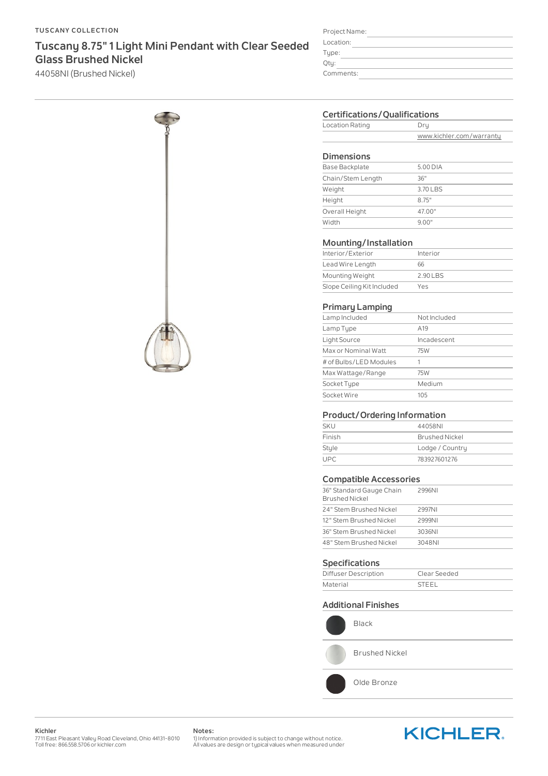#### **TUSCANY COLLECTION**

# **Tuscany 8.75"1 Light Mini Pendant with Clear Seeded Glass Brushed Nickel**

44058NI (Brushed Nickel)



| Project Name: |  |  |  |
|---------------|--|--|--|
| Location:     |  |  |  |
| Type:         |  |  |  |
| Qty:          |  |  |  |
| Comments:     |  |  |  |
|               |  |  |  |

# **Certifications/Qualifications**

| Location Rating |                          |
|-----------------|--------------------------|
|                 | www.kichler.com/warranty |

#### **Dimensions**

| <b>Base Backplate</b> | 5.00 DIA |
|-----------------------|----------|
| Chain/Stem Length     | 36"      |
| Weight                | 3.70 LBS |
| Height                | 8 75"    |
| Overall Height        | 47.00"   |
| Width                 | 9 00"    |
|                       |          |

#### **Mounting/Installation**

| Interior/Exterior          | Interior |
|----------------------------|----------|
| Lead Wire Length           | 66       |
| Mounting Weight            | 2.90 LBS |
| Slope Ceiling Kit Included | Yes      |

## **Primary Lamping**

| Lamp Included          | Not Included    |
|------------------------|-----------------|
| Lamp Type              | A <sub>19</sub> |
| Light Source           | Incadescent     |
| Max or Nominal Watt    | 75W             |
| # of Bulbs/LED Modules |                 |
| Max Wattage/Range      | 75W             |
| Socket Type            | Medium          |
| Socket Wire            | 105             |
|                        |                 |

# **Product/Ordering Information**

| <b>SKU</b> | 44058NI               |
|------------|-----------------------|
| Finish     | <b>Brushed Nickel</b> |
| Style      | Lodge / Country       |
| UPC.       | 783927601276          |

# **Compatible Accessories**

| 36" Standard Gauge Chain<br><b>Brushed Nickel</b> | 2996NI |
|---------------------------------------------------|--------|
| 24" Stem Brushed Nickel                           | 2997NI |
| 12" Stem Brushed Nickel                           | 2999NI |
| 36" Stem Brushed Nickel                           | 3036NI |
| 48" Stem Brushed Nickel                           | 3048NI |
|                                                   |        |

## **Specifications**

| Diffuser Description | Clear Seeded |
|----------------------|--------------|
| Material             | <b>STEEL</b> |

### **Additional Finishes**



Black

Brushed Nickel

Olde Bronze

**Kichler** 7711 East Pleasant Valley Road Cleveland, Ohio 44131-8010<br>Toll free: 866.558.5706 or kichler.com **Notes:**

1) Information provided is subject to change without notice. All values are design or typical values when measured under